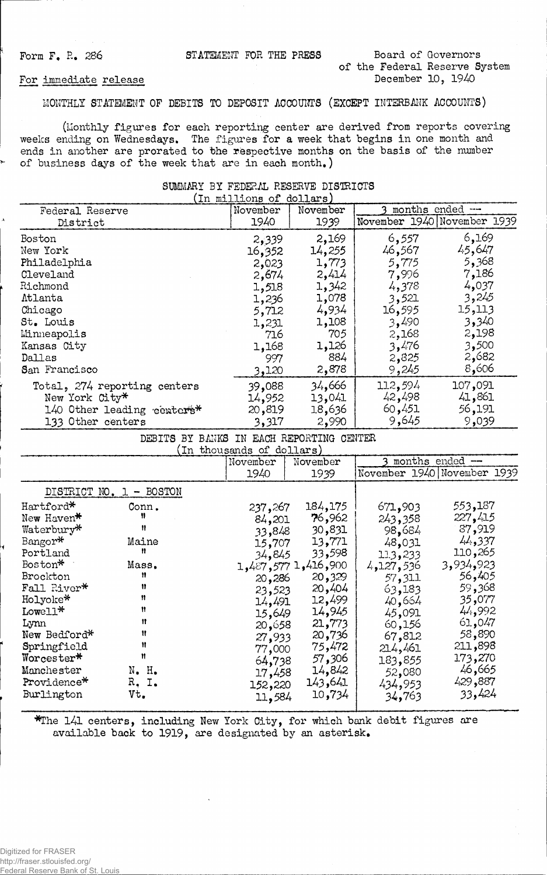Form F. R. 286 **STATEMENT FOR THE PRESS** Board of Governors

**of the Federal Reserve System**

#### For immediate release

**MONTHLY STATEMENT OF DEBITS TO DEPOSIT ACCOUNTS (EXCEPT INTERBANK ACCOUNTS)**

**(Monthly figures for each reporting center are derived from reports covering weeks ending on Wednesdays. The figures for a week that begins in one month and ends in another are prorated to the respective months on the basis of the number of business days of the week that are in each month.)**

#### **SUMMARY BY FEDERAL RESERVE DISTRICTS**  $\frac{1}{111}$ ons

|                              | 'In millions or | (cortars |         |                             |
|------------------------------|-----------------|----------|---------|-----------------------------|
| Federal Reserve              | November        | November |         | months ended --             |
| District                     | 1940            | 1939     |         | November 1940 November 1939 |
| Boston                       | 2,339           | 2,169    | 6,557   | 6,169                       |
| New York                     | 16,352          | 14,255   | 46,567  | 45,647                      |
| Philadelphia                 | 2,023           | 1,773    | 5,775   | 5,368                       |
| Cleveland                    | 2,674           | 2,414    | 7,996   | 7,186                       |
| Richmond                     | 1,518           | 1,342    | 4,378   | 4,037                       |
| Atlanta                      | 1,236           | 1,078    | 3,521   | 3,245                       |
| Chicago                      | 5,712           | 4,934    | 16,595  | 15,113                      |
| St. Louis                    | 1,231           | 1,108    | 3,490   | 3,340                       |
| Minneapolis                  | 716             | 705      | 2,168   | 2,198                       |
| Kansas City                  | 1,168           | 1,126    | 3,476   | 3,500                       |
| Dallas                       | 997             | 884      | 2,825   | 2,682                       |
| San Francisco                | 3,120           | 2,878    | 9,245   | 8,606                       |
| Total, 274 reporting centers | 39,088          | 34,666   | 112,594 | 107,091                     |
| New York City*               | 14,952          | 13,041   | 42,498  | 41,861                      |
| 140 Other leading centers*   | 20,819          | 18,636   | 60,451  | 56,191                      |
| 133 Other centers            | 3,317           | 2,990    | 9,645   | 9,039                       |

|  |  | DEBITS BY BANKS IN EACH REPORTING CENTER |  |
|--|--|------------------------------------------|--|
|  |  | (In thousands of dollars)                |  |

|   |                                                  |                          | November                    | November                              |                                | months ended --                        |
|---|--------------------------------------------------|--------------------------|-----------------------------|---------------------------------------|--------------------------------|----------------------------------------|
|   |                                                  |                          | 1940                        | 1939                                  |                                | November 1940 November 1939            |
|   |                                                  | DISTRICT NO. 1 - BOSTON  |                             |                                       |                                |                                        |
|   | Hartford*<br>New Haven*<br>Waterbury*<br>Bangor* | Conn.<br>n<br>Ħ<br>Maine | 237,267<br>84,201<br>33,848 | 184,175<br>76,962<br>30,831<br>13,771 | 671,903<br>243,358<br>98.684   | 553,187<br>227,415<br>87,919<br>44,337 |
| ¥ | Portland<br>Boston*                              | Ħ<br>Mass.               | 15,707<br>34,845            | 33,598<br>$1,487,577$ $1,416,900$     | 48,031<br>113,233<br>4,127,536 | 110,265<br>3,934,923                   |
|   | Brockton<br>Fall River*                          | Ħ<br>11<br>Ħ             | 20,286<br>23,523            | 20,329<br>20,404                      | 57,311<br>63,183               | 56,405<br>59,368                       |
|   | Holyoke*<br>Lowell*<br>Lynn                      | Ħ<br>Ħ                   | 14,491<br>15,649<br>20,658  | 12,499<br>14,945<br>21,773            | 40,664<br>45,091<br>60,156     | 35,077<br>44,992<br>61,047             |
|   | New Bedford*<br>Springfield<br>Worcester*        | Ħ<br>Ħ                   | 27,933<br>77,000            | 20,736<br>75,472                      | 67,812<br>214,461              | 58,890<br>211,898<br>173,270           |
|   | Manchester<br>Providence*<br>Burlington          | N. H.<br>R. I.<br>Vt.    | 64,738<br>17,458<br>152,220 | 57,306<br>14,842<br>143,641<br>10,734 | 183,855<br>52,080<br>434,953   | 46,665<br>429,887<br>33,424            |
|   |                                                  |                          | 11,584                      |                                       | 34,763                         |                                        |

**\*The 141 centers, including Hew York City, for which bank debit figures are available back to 1919, are designated by an asterisk.**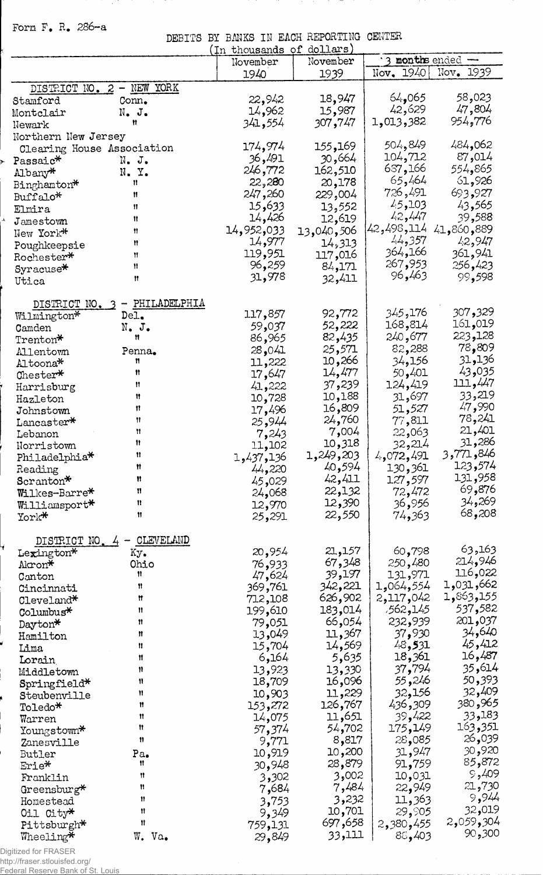**Form F, R. 286-a**

**DEBITS BY BANKS IN EACH REPORTING CENTER**

|                            |                               | In thousands     | dollars<br>of |                     |                  |
|----------------------------|-------------------------------|------------------|---------------|---------------------|------------------|
|                            |                               | November         | November      | 3 months ended -    |                  |
|                            |                               | 1940             | 1939          | $\text{Nov. } 1940$ | Nov. 1939        |
|                            | DISTRICT NO. 2 - NEW YORK     |                  |               |                     |                  |
| Stamford                   | Conn.                         | 22,942           | 18,947        | 64,065              | 58,023           |
| Montclair                  | N. J.                         | 14,962           | 15,987        | 42,629              | 47,804           |
|                            |                               | 341,554          | 307,747       | 1,013,382           | 954 <b>,77</b> 6 |
| Newark                     |                               |                  |               |                     |                  |
| Northern New Jersey        |                               |                  |               | 504,849             | 484,062          |
| Clearing House Association |                               | 174 <b>,</b> 974 | 155,169       | 104,712             | 87,014           |
| Passaic*                   | N. J.                         | 36,491           | 30,664        | 637,166             |                  |
| Albany*                    | N. Y.                         | 246,772          | 162,510       |                     | 554,865          |
| Binghamton*                | n                             | 22,280           | 20,178        | 65,464              | 61,926           |
| Buffalo*                   | Ħ                             | 247,260          | 229,004       | 726,491             | 693,927          |
| Elmira                     | ₩                             | 15,633           | 13,552        | 45,103              | 43,565           |
| Jamestown                  | 11                            | 14,426           | 12,619        | 42,447              | 39,588           |
| New York*                  | Ħ                             | 14,952,033       | 13,040,506    | 42,498,114          | 41,860,889       |
| Poughkeepsie               | Ħ                             | 14,977           | 14,313        | 44,357              | 42,947           |
| Rochester*                 | Ħ                             | 119,951          | 117,016       | 364,166             | 361,941          |
| Syracuse <sup>*</sup>      | Ħ                             | 96,259           | 84,171        | 267,953             | 256,423          |
| Utica                      | Ħ                             | 31,978           | 32,411        | 96,463              | 99,598           |
|                            |                               |                  |               |                     |                  |
|                            | DISTRICT NO. 3 - PHILADELPHIA |                  |               |                     |                  |
|                            |                               | 117,857          | 92,772        | 345,176             | 30 <b>7,</b> 329 |
| Wilmington*                | Del.                          |                  | 52,222        | 168,814             | 161,019          |
| Camden                     | N. J.<br>n                    | 59,037           |               | 240,677             | 223,128          |
| Trenton*                   |                               | 86,965           | 82,435        |                     | 78,809           |
| Allentown                  | Penna.                        | 28,041           | 25,571        | 82,288              | 31,136           |
| Altoona*                   | n                             | 11,222           | 10,266        | 34,156              |                  |
| Chester*                   | n                             | 17,647           | 14,477        | 50,401              | 43,035           |
| Harrisburg                 | Ħ                             | 41,222           | 37,239        | 124,419             | 111,447          |
| Hazleton                   | Ħ                             | 10,728           | 10,188        | 31,697              | 33,219           |
| Johnstown                  | Ħ                             | 17,496           | 16,809        | 51,527              | 47,990           |
| Lancaster*                 | Ħ                             | 25,944           | 24,760        | 77,811              | 78,241           |
| Lebanon                    | Ħ                             | 7,243            | 7,004         | 22,063              | 21,401           |
| Norristown                 | Ħ                             | 11,102           | 10,318        | 32,214              | 31,286           |
| Philadelphia*              | 11                            | 1,437,136        | 1,249,203     | 4,072,491           | 846و 771,3       |
| Reading                    | Ħ                             | 44,220           | 40,594        | 130,361             | 123,574          |
| Scranton*                  | Ħ                             | 45,029           | 42,411        | 127,597             | 131,958          |
| Wilkes-Barre*              | Ħ                             | 24,068           | 22,132        | 72,472              | 69,876           |
| Williamsport*              | Ħ                             | 12,970           | 12,390        | 36,956              | 34,269           |
| York*                      | Ħ                             | 25,291           | 22,550        | 74,363              | 68,208           |
|                            |                               |                  |               |                     |                  |
| DISTRICT NO.               | CLEVELAND                     |                  |               |                     |                  |
|                            |                               | 20,954           | 21,157        | 60,798              | 63,163           |
| Lexington*                 | Кy.<br>Ohio                   |                  | 67,348        | 250,480             | 214,946          |
| Akron*                     | n                             | 76,933           | 39,197        | 131,971             | 116,022          |
| Canton                     | 11                            | 47,624           | 342,221       | 1,064,554           | 1,031,662        |
| Cincinnati                 | Ħ                             | 369,761          | 626,902       | 2,117,042           | 1,863,155        |
| Cleveland*                 |                               | 712,108          |               | 562,145,            | 537,582          |
| Columbus*                  | n                             | 199,610          | 183,014       |                     | 201,037          |
| Dayton*                    | Ħ                             | 79,051           | 66,054        | 232,939             |                  |
| Hamilton                   | Ħ                             | 13,049           | 11,367        | 37,930              | 34,640           |
| Lima                       | Ħ                             | 15,704           | 14,569        | 48,531              | 45,412           |
| Lorain                     | Ħ                             | 6,164            | 5,635         | 18,361              | 16,487           |
| Middletown                 | Ħ                             | 13,923           | 13,330        | 37,794              | 35,614           |
| Springfield*               | 11                            | 18,709           | 16,096        | 55,246              | 50,393           |
| Steubenville               | n                             | 10,903           | 11,229        | 32,156              | 32,409           |
| Toledo*                    | Ħ                             | 153,272          | 126,767       | 436,309             | 380,965          |
| Warren                     | Ħ                             | 14,075           | 11,651        | 39,422              | 33,183           |
| Youngstown*                | 11                            | 57,374           | 54,702        | 175,149             | 163,351          |
| Zanesville                 | 11                            | 9,771            | 8,817         | 28,085              | 26,039           |
| Butler                     | Pa.                           | 10,919           | 10,200        | 31,947              | 30,920           |
| Erie*                      | Ħ                             | 30,948           | 28,879        | 91,759              | 85,872           |
| Franklin                   | n                             | 3,302            | 3,002         | 10,031              | 9,409            |
| Greensburg*                | Ħ                             | 7,684            | 7,484         | 22,949              | 21,730           |
| Homestead                  | Ħ                             | 3,753            | 3,232         | 11,363              | 9,944            |
|                            | Ħ                             |                  | 10,701        | 29,905              | 32,019           |
| Oil City*                  | 11                            | 9,349            | 697,658       | 2,380,455           | 2,059,304        |
| Pittsburgh*                |                               | 759,131          | 33,111        |                     | 90,300           |
| Wheeling*                  | W. Va.                        | 29,849           |               | 88,403              |                  |

Digitized for FRASER

http://fraser.stlouisfed.org/ Federal Reserve Bank of St. Louis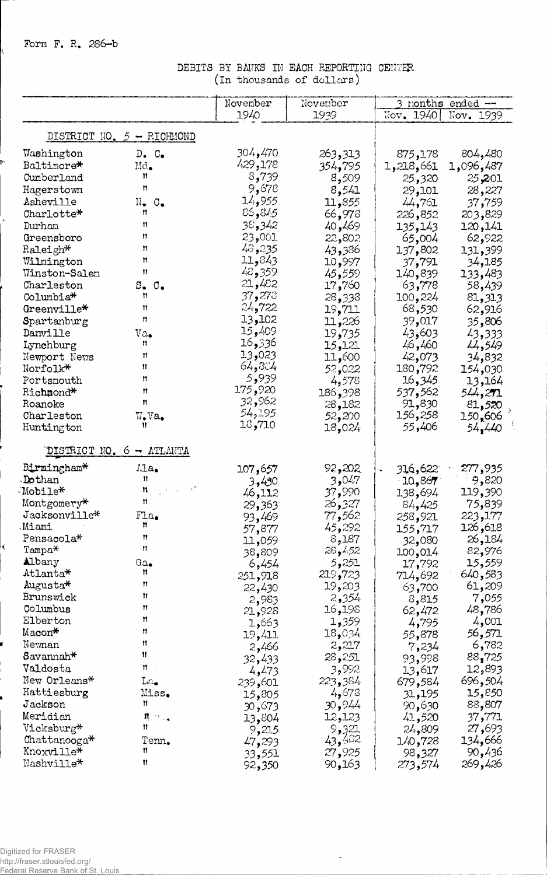Form F. R. 286-b

k.

## DEBITS BY BANKS IN EACH REPORTING CENTER (In thousands of dollars)

|                                     |                                                                    | November | November         |           | 3 months ended -- |
|-------------------------------------|--------------------------------------------------------------------|----------|------------------|-----------|-------------------|
|                                     |                                                                    | 1940     | 1939             | Nov, 1940 | Nov. 1939         |
|                                     | DISTRICT NO. $5$ - RICHMOND                                        |          |                  |           |                   |
| Washington                          | D. C <sub>o</sub>                                                  | 304,470  | 263,313          | 875,178   | 804,480           |
| Baltimore*                          | Md.                                                                | 429,178  | 354 <b>,</b> 795 | 1,218,661 | 1,096,487         |
| Cumberland                          | n                                                                  | 8,739    | 8,509            | 25,320    | 25,201            |
| Hagerstown                          | Ħ                                                                  | 9,678    | 8,541            | 29,101    | 28,227            |
| Asheville                           | $N_{\bullet}$ $C_{\bullet}$                                        | 14,955   | 355,11           | 44,761    | 37,759            |
| Charlotte*                          | n                                                                  | 86,845   | 66,978           | 226,852   | 203,829           |
| Durham                              | Ħ                                                                  | 38,342   | 40,469           | 135,143   | 120,141           |
| Greensboro                          | Ħ                                                                  | 23,001   | 22,802           | 65,004    | 62,922            |
| Raleigh*                            | Ħ                                                                  | 48,235   | 43,386           | 137,802   | 131,399           |
| Wilmington                          | Ħ                                                                  | 11,843   | 10,997           | 37,791    | 34,185            |
| Winston-Salem                       | Ħ                                                                  | 48,359   | 45,559           | 140,839   | 133,483           |
| Charleston                          | $S_{\bullet}$ $C_{\bullet}$                                        | 21,482   | 17,760           | 63,778    | 58,439            |
| Columbia <sup>*</sup>               | Ħ                                                                  | 37,273   | 28,338           | 100,224   | 81,313            |
| Greenville*                         | Ħ                                                                  | 24,722   | 19,711           | 68,530    | 62,916            |
| Spartanburg                         | Ħ                                                                  | 13,102   | 11,226           | 39,017    | 35,806            |
| Danville                            | $\mathrm{Va}_\bullet$                                              | 15,409   | 19,735           | 43,603    | 43,333            |
| Lynchburg                           | n                                                                  | 16,336   | 15,121           | 46,460    | 44,549            |
| Newport News                        | Ħ                                                                  | 13,023   | 11,600           | 42,073    | 34,832            |
| Norfolk*                            | Ħ                                                                  | 64,804   | 52,022           | 180,792   | 154,030           |
| Portsmouth                          | Ħ                                                                  | 939ء 5   | 4,578            | 16,345    | 13,164            |
| Richmond*                           | Ħ                                                                  | 175,920  | 398و 186         | 537,562   | 544,271           |
| Roanoke                             | Ħ                                                                  | 32,962   | 28,182           | 91,830    | 81,520            |
| Charleston                          | $W_{\bullet}Va_{\bullet}$                                          | 54,195   | 52,200           | 156,258   | 150,606           |
| Huntington                          | Ħ                                                                  | 18,710   | 18,024           | 55,406    | 54,440            |
|                                     | DISTRICT NO. 6 - ATLANTA                                           |          |                  |           |                   |
| Birmingham*                         | $\Lambda$ la.                                                      | 107,657  | 92,202           | 316,622   | 277,935           |
| Dothan                              | n                                                                  | 3,430    | 3,047            | 10,867    | 9,820             |
| Mobile*                             | 11                                                                 | 46,112   | 37,990           | 138,694   | 119,390           |
| Montgomery*                         | Ħ                                                                  | 29,363   | 26,327           | 84,425    | 75,839            |
| Jacksonville*                       | Fla.                                                               | 93,469   | 77,562           | 258,921   | 223,177           |
| Miami                               | n                                                                  | 57,877   | 45,292           | 155,717   | 126,618           |
| Pensacola*                          | П                                                                  | 11,059   | 8,187            | 32,080    | 26,184            |
| $Tampa*$                            | Ħ                                                                  | 38,809   | 28,452           | 100,014   | 82,976            |
| Albany                              | $Ga_{\bullet}$                                                     | 6,454    | 5,251            | 17,792    | 15,559            |
| Atlanta*                            | n                                                                  | 251,918  | 219,723          | 714,692   | 640,583           |
| Augusta*                            | Ħ                                                                  | 22,430   | 19,203           | 63,700    | 61,209            |
| Brunswick                           | Ħ                                                                  | 2,983    | 2,354            | 8,815     | 7,055             |
| Columbus                            | Ħ                                                                  | 21,928   | 16,198           | 62,472    | 48,786            |
| Elberton                            | n                                                                  | 1,663    | 1,359            | 4,795     | 4,001             |
| Macon*                              | Ħ                                                                  | 19,411   | 18,034           | 55,878    | 56,571            |
| Newnan                              | Ħ<br>11                                                            | 2,466    | 2,217            | 7,234     | 6,782             |
| $\mathtt{Savamah\texttt{*}}$        |                                                                    | 32,433   | 28,251           | 93,998    | 88,725            |
| Valdosta                            | Ħ                                                                  | 4,473    | 3,992            | 13,617    | 893,22            |
| New Orleans*                        | $\text{La}_\bullet$                                                | 239,601  | 223,384          | 679,584   | 504 و696          |
| Hattiesburg                         | Miss.                                                              | 15,805   | 4,673            | 31,195    | 15,850            |
| Jackson                             | n                                                                  | 30,673   | 30,944           | 90,630    | 88,807            |
| Meridian                            | $\mathbf{n}_\parallel$<br>$\mathcal{D}_{\mathcal{A},\bullet}$<br>Ħ | 13,804   | 12,123           | 41,520    | 37,771            |
| Vicksburg*                          |                                                                    | 9,215    | 9,321            | 24,809    | 27,693            |
| $\text{Chattanog}_a*$<br>Knoxville* | Tenn.<br>Ħ                                                         | 47,293   | 43,462           | 140,728   | 134,666           |
| Nashville*                          | 11                                                                 | 33,551   | 27,925           | 98,327    | 90,436<br>269,426 |
|                                     |                                                                    | 92,350   | 90,163           | 273,574   |                   |

l.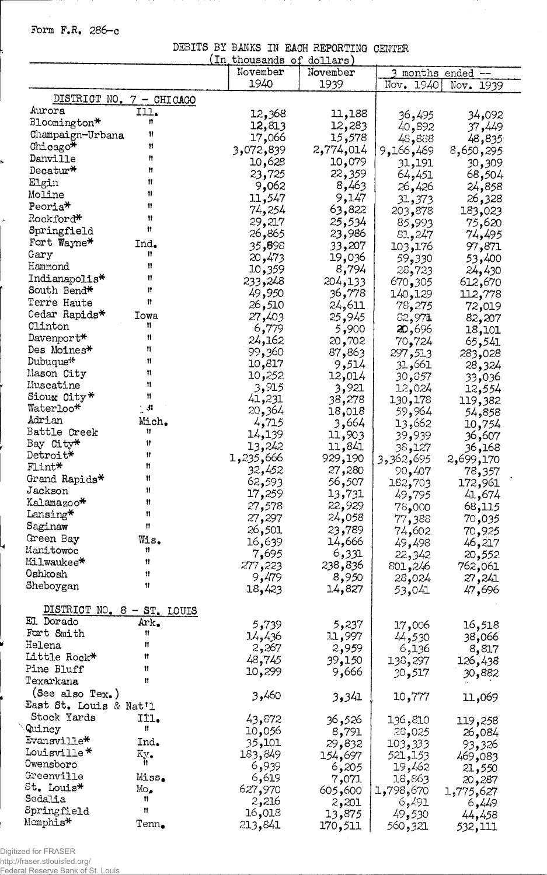**Form F.R, 286-c**

ı,

 $\lambda$ 

**DEBITS BY BANKS IN EACH REPORTING CENTER**

|                             |                             | In thousands of | dollars)  |           |                 |
|-----------------------------|-----------------------------|-----------------|-----------|-----------|-----------------|
|                             |                             | November        | November  |           | months ended -- |
|                             |                             | 1940            | 1939      | Nov. 1940 | Nov. 1939       |
|                             | DISTRICT NO. 7 - CHICAGO    |                 |           |           |                 |
| Aurora                      | Ill.                        |                 |           |           |                 |
| Bloomington*                | n                           | 12,368          | 11,188    | 36,495    | 34,092          |
| Champaign-Urbana            | Ħ                           | 12,813          | 12,283    | 40,892    | 37,449          |
|                             | 11                          | 066,17          | 15,578    | 48,888    | 48,835          |
| Chicago*                    | Ħ                           | 3,072,839       | 2,774,014 | 9,166,469 | 8,650,295       |
| Danville                    |                             | 10,628          | 10,079    | 31,191    | 30,309          |
| $\texttt{Decatur*}$         | n                           | 23,725          | 22,359    | 64,451    | 68,504          |
| Elgin                       | Ħ                           | 9,062           | 8,463     | 26,426    | 24,858          |
| Moline                      | n                           | 11,547          | 9,147     | 31,373    | 26,328          |
| Peoria <sup>*</sup>         | 11                          | 74,254          | 63,822    | 203,878   | 183,023         |
| Rockford*                   | Ħ                           | 29,217          | 25,534    | 85,993    | 75,620          |
| Springfield                 | Ħ                           | 26,865          | 23,986    | 81,247    | 74,495          |
| Fort Wayne*                 | Ind.                        | 35,898          | 33,207    | 103,176   | 97,871          |
| Gary                        | Ħ                           | 20,473          | 19,036    | 59,330    | 53,400          |
| Hammond                     | 11                          | 10,359          | 8,794     | 28,723    | 24,430          |
| Indianapolis*               | Ħ                           | 233,248         | 204,133   |           | 612,670         |
| South Bend*                 | Ħ                           | 49,950          | 36,778    | 305و 670  |                 |
| Terre Haute                 | Ħ                           |                 |           | 140, 129  | 112,778         |
| Cedar Rapids*               | Iowa                        | 26,510          | 24,611    | 78,275    | 72,019          |
| Clinton                     | Ħ                           | 27,403          | 25,945    | 62,971    | 82,207          |
|                             | n                           | 6,779           | 5,900     | 20,696    | 18,101          |
| $Davenport*$<br>Des Moines* | n                           | 24,162          | 20,702    | 70,724    | 65,541          |
|                             | 11                          | 99,360          | 87,863    | 297,513   | 283,028         |
| Dubuque*                    | 11                          | 10,817          | 9,514     | 661, 31   | 28,324          |
| Mason City                  |                             | 10,252          | 12,014    | 30,857    | 33,036          |
| Muscatine                   | Ħ                           | 3,915           | 3,921     | 12,024    | 12,554          |
| Sioux City*                 | Ħ                           | 41,231          | 38,278    | 130,178   | 119,382         |
| Waterloo*                   | $\mathbb{R}^n$              | 20,364          | 18,018    | 59,964    | 54,858          |
| Adrian                      | Mich.                       | 4,715           | 3,664     | 13,662    | 10,754          |
| Battle Creek                | Ħ                           | 14,139          | 11,903    | 39,939    | 36,607          |
| Bay City*                   | 11                          | 13,242          | 11,841    | 127و36    | 36,168          |
| Detroit*                    | Ħ                           | 1,235,666       | 929,190   | 3,362,695 | 2,699,170       |
| $F1$ int $*$                | Ħ                           | 32,452          | 27,280    | 90,407    | 78,357          |
| Grand Rapids*               | Ħ                           | 62,593          | 56,507    | 182,703   | 172,961         |
| Jackson                     | $\mathbf{H}$                | 17,259          | 13,731    | 49,795    | 41,674          |
| Kalamazoo*                  | Ħ                           | 27,578          | 22,929    | 000و78    | 68,115          |
| Lansing*                    | Ħ                           | 27,297          | 24,058    | 77,388    | 70,035          |
| Saginaw                     | 11                          | 26,501          | 23,789    | 74,602    | 70,925          |
| Green Bay                   | Wis.                        | 16,639          | 14,666    | 49,498    | 46,217          |
| Manitowoc                   | 11                          | 7,695           | 6,331     | 22,342    | 20,552          |
| Milwaukee*                  | 11                          | 277,223         | 238,836   | 801,246   |                 |
| Oshkosh                     | Ħ                           | 9,479           | 8,950     |           | 762,061         |
| Sheboygan                   | 11                          | 18,423          | 14,827    | 28,024    | 27,241          |
|                             |                             |                 |           | 53,041    | 47,696          |
| DISTRICT NO. 8 - ST. LOUIS  |                             |                 |           |           |                 |
| El Dorado                   | Ark.                        | 5,739           | 5,237     | 17,006    | 16,518          |
| Fort Smith                  | Ħ                           | 14,436          | 11,997    | 44,530    | 38,066          |
| Helena                      | Ħ                           | 2,267           |           |           |                 |
| Little Rock*                | Ħ                           |                 | 2,959     | 6,136     | 8,817           |
| Pine Bluff                  | Ħ                           | 48,745          | 39,150    | 138,297   | 126,438         |
| Texarkana                   | Ħ                           | 10,299          | 9,666     | 30,517    | 30,882          |
| (See also $Tex.$ )          |                             |                 |           |           |                 |
|                             |                             | 3,460           | 3,341     | 10,777    | 11,069          |
| East St. Louis & Nat'l      |                             |                 |           |           |                 |
| Stock Yards                 | IÏl.<br>Ħ                   | 43,872          | 36,526    | 136,810   | 119,258         |
| Quincy                      |                             | 10,056          | 8,791     | 28,025    | 26,084          |
| Evansville*                 | Ind.                        | 35,101          | 29,832    | 103,333   | 93,326          |
| Louisville*                 | Ky.                         | 183,849         | 154,697   | 521,153   | 469,083         |
| Owensboro                   | n                           | 6,939           | 6,205     | 19,462    | 21,550          |
| Greenville                  | Miss.                       | 6,619           | 7,071     | 18,863    | 20,287          |
| St. Louis*                  | $\mathbb{M}\circ_{\bullet}$ | 627,970         | 605,600   | 1,798,670 | 1,775,627       |
| Sedalia                     | Ħ                           | 2,216           | 2,201     | 6,491     | 6,449           |
| Springfield                 | Ħ                           | 16,018          | 13,875    | 49,530    | 44,458          |
| Memphis*                    | $\text{Tem}_\bullet$        | 213,841         | 170,511   | 560,321   | 532,111         |

Digitized for FRASER http://fraser.stlouisfed.org/ Federal Reserve Bank of St. Louis

 $\hat{\Delta}$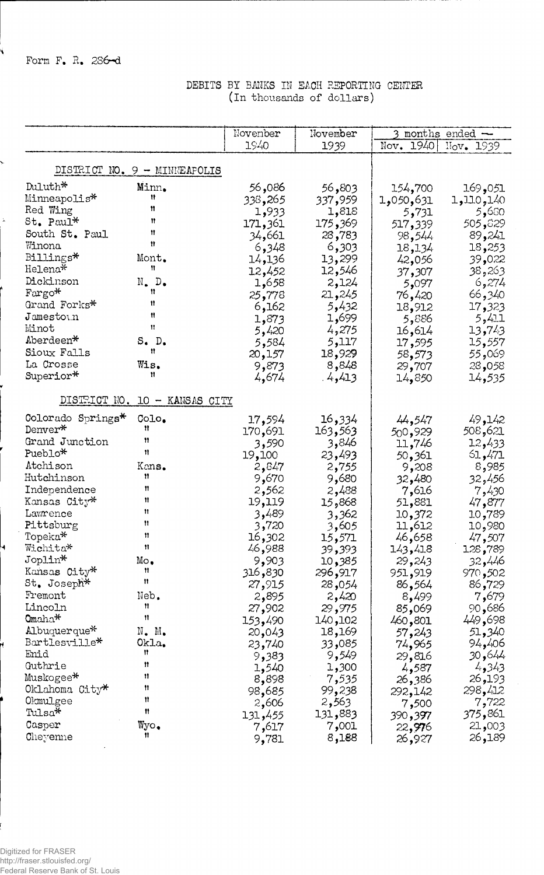**Form F. R. 236—d**

Ý

 $\overline{\phantom{0}}$ 

÷.

### **DEBITS BT BMKS IN EACH REPORTING CENTER (in thousands of dollars)**

|                      |                                | November | November         |                     | $3$ months ended $-$ |
|----------------------|--------------------------------|----------|------------------|---------------------|----------------------|
|                      |                                | 1940     | 1939             | Nov. 1940 Nov. 1939 |                      |
|                      |                                |          |                  |                     |                      |
|                      | DISTRICT NO. $9 -$ MINNEAPOLIS |          |                  |                     |                      |
| Duluth*              | Minn.                          | 086, 56  | 803و56           | 154,700             | 169,051              |
| Minneapolis*         | Ħ                              | 338,265  | 337 <b>,</b> 959 | 631,050,5           | 1,110,140            |
| Red Wing             | n                              | 1,933    | 1,818            | 5,731               | 5,680                |
| $St.$ Paul*          | Ħ                              | 171,361  | 175,369          | 517,339             | 505,329              |
| South St. Paul       | Ħ                              | 34,661   | 28,783           | 98,544              | 89,241               |
| Winona               | Ħ                              | 6,348    | 6,303            | 18,134              | 18,253               |
| Billings*            | Mont.                          | 14,136   | 13,299           | 42,056              | 39,022               |
| Helena*              | 11                             | 12,452   | 12,546           | 37,307              | 38,263               |
| Dickinson            | $N_{\bullet}$ D.               | 1,658    | 2,124            | 5,097               | 6,274                |
| $\text{Fargo*}$      | Ħ                              | 25,778   | 21,245           | 76,420              | 66,340               |
| Grand Forks*         | Ħ                              | 6,162    | 5,432            | 18,912              | 17,323               |
| $J$ ame $st$ o $v.n$ | Ħ                              | 1,873    | 1,699            | 5,886               | 5,411                |
| Minot                | Ħ                              | 5,420    | 4,275            | 16,614              | 13,743               |
| Aberdeen*            | S. D.                          | 5,584    | 5,117            | 17,595              | 15,557               |
| Sioux Falls          | Ħ                              |          | 18,929           |                     | 069, 55              |
| La Crosse            | Wis.                           | 20,157   | 8,848            | 58,573              |                      |
| Superior*            | Ħ                              | 9,873    |                  | 29,707              | 28,058               |
|                      |                                | 4,674    | .4,413           | 14,850              | 14,535               |
|                      | DISTRICT NO. 10 - KANSAS CITY  |          |                  |                     |                      |
| Colorado Springs*    | Colo.                          | 17,594   | 334 <b>,</b> 16  | 44,547              | 49,142               |
| Denver*              | Ħ                              | 170,691  | 163,563          | 500,929             | 508,621              |
| Grand Junction       | Ħ                              | 3,590    | 3,846            | 11,746              | 12,433               |
| Pueblo*              | 11                             | 19,100   | 23,493           | 50,361              | 61,471               |
| Atchison             | Kans.                          | 2,847    | 2,755            | 9,208               | 8,985                |
| Hutchinson           | Ħ                              | 9,670    | 9,680            | 32,480              | 32,456               |
| Independence         | Ħ                              | 2,562    | 2,488            | 7,616               | 7,430                |
| Kansas City*         | Ħ                              | 19,119   | 868, 15          | 51,881              | 47,877               |
| Lawrence             | Ħ                              | 3,489    | 3,362            | 10,372              | 10,789               |
| Pittsburg            | n                              | 3,720    | 3,605            | 11,612              | 10,980               |
| Topeka*              | Ħ                              | 302و16   | 15,571           | 46,658              | 47,507               |
| Wichita*             | Ħ                              | 46,988   | 39,393           | 143,418             | 128,789              |
| Joplin*              | $Mo_{\bullet}$                 | 9,903    | 10,385           | 29,243              | 32,446               |
| Kansas City*         | Ħ                              | 316,830  | 296,917          | 951,919             | 970,502              |
| St. Joseph*          | Ħ                              | 27,915   | 28,054           | 86,564              | 86,729               |
| Fremont              | Neb.                           | 2,895    | 2,420            | 8,499               | 7,679                |
| Lincoln              | Ħ                              | 27,902   | 29,975           | 85,069              | 90,686               |
| Omaha <sup>*</sup>   | 11                             | 153,490  | 140,102          | 460,801             | 449,698              |
| Albuquerque*         | $N$ . $M$ .                    | 20,043   | 18,169           |                     | 51,340               |
| Bartlesville*        | Okla.                          | 23,740   | 33,085           | 57,243              | 94,406               |
| Enid                 | Ħ                              |          | 9,549            | 74,965              | 446و30               |
| Guthrie              | n                              | 9,383    | 1,300            | 29,816              | 4,343                |
| Muskogee*            | Ħ                              | 1,540    |                  | 4,587               |                      |
| Oklahoma City*       | Ħ                              | 8,898    | 7,535            | 386 <b>,</b> 26     | 193ھ 26              |
| Okmulgee             | Ħ                              | 98,685   | 99,238           | 292,142             | 298,412              |
| Tulsa*               | Ħ                              | 2,606    | 2,563            | 7,500               | 7,722                |
|                      |                                | 131,455  | 131,883          | 390 <b>,</b> 397    | 375,861              |
| Casper               | Wyo.<br>11.                    | 7,617    | 7,001            | 22,976              | 21,003               |
| Cheyenne             |                                | 9,781    | 8,188            | 26,927              | 26,189               |